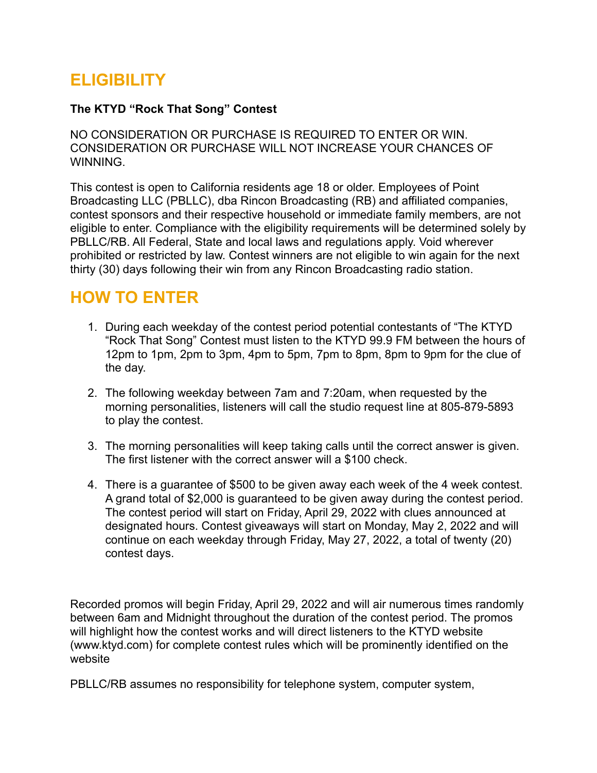# **ELIGIBILITY**

#### **The KTYD "Rock That Song" Contest**

NO CONSIDERATION OR PURCHASE IS REQUIRED TO ENTER OR WIN. CONSIDERATION OR PURCHASE WILL NOT INCREASE YOUR CHANCES OF WINNING.

This contest is open to California residents age 18 or older. Employees of Point Broadcasting LLC (PBLLC), dba Rincon Broadcasting (RB) and affiliated companies, contest sponsors and their respective household or immediate family members, are not eligible to enter. Compliance with the eligibility requirements will be determined solely by PBLLC/RB. All Federal, State and local laws and regulations apply. Void wherever prohibited or restricted by law. Contest winners are not eligible to win again for the next thirty (30) days following their win from any Rincon Broadcasting radio station.

### **HOW TO ENTER**

- 1. During each weekday of the contest period potential contestants of "The KTYD "Rock That Song" Contest must listen to the KTYD 99.9 FM between the hours of 12pm to 1pm, 2pm to 3pm, 4pm to 5pm, 7pm to 8pm, 8pm to 9pm for the clue of the day.
- 2. The following weekday between 7am and 7:20am, when requested by the morning personalities, listeners will call the studio request line at 805-879-5893 to play the contest.
- 3. The morning personalities will keep taking calls until the correct answer is given. The first listener with the correct answer will a \$100 check.
- 4. There is a guarantee of \$500 to be given away each week of the 4 week contest. A grand total of \$2,000 is guaranteed to be given away during the contest period. The contest period will start on Friday, April 29, 2022 with clues announced at designated hours. Contest giveaways will start on Monday, May 2, 2022 and will continue on each weekday through Friday, May 27, 2022, a total of twenty (20) contest days.

Recorded promos will begin Friday, April 29, 2022 and will air numerous times randomly between 6am and Midnight throughout the duration of the contest period. The promos will highlight how the contest works and will direct listeners to the KTYD website (www.ktyd.com) for complete contest rules which will be prominently identified on the website

PBLLC/RB assumes no responsibility for telephone system, computer system,